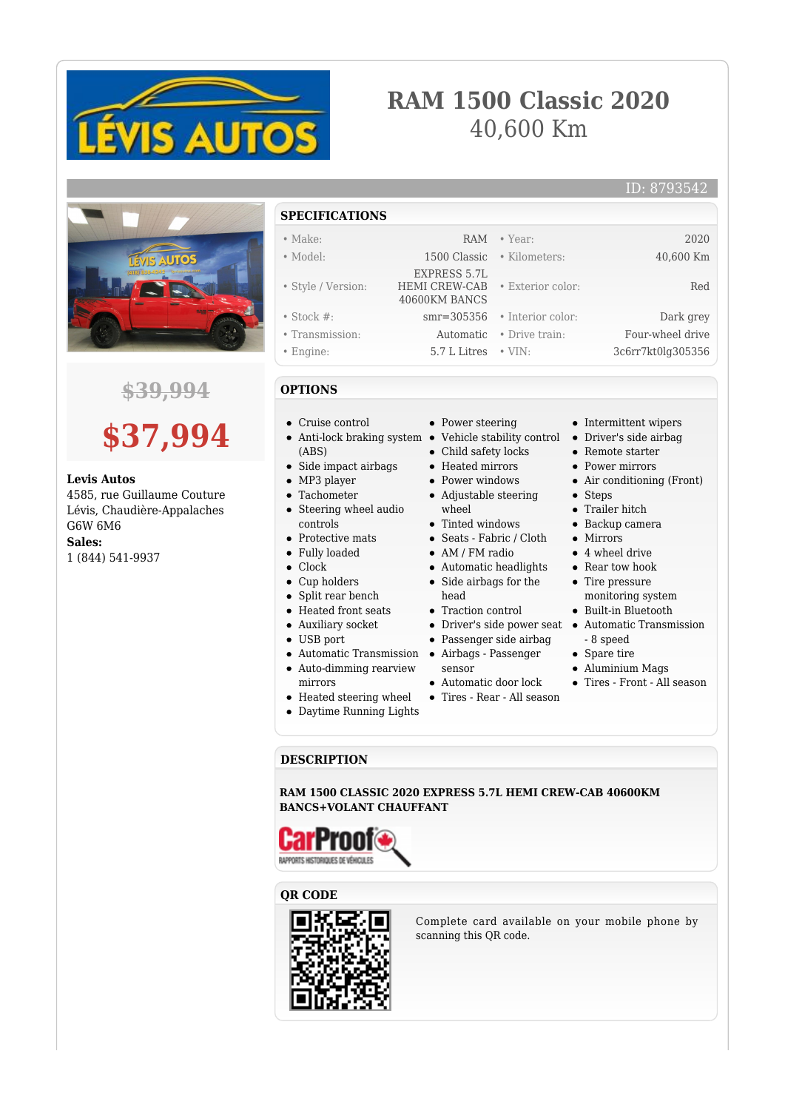

# **RAM 1500 Classic 2020** 40,600 Km

#### ID: 8793542



## **\$39,994**



#### **Levis Autos**

4585, rue Guillaume Couture Lévis, Chaudière-Appalaches G6W 6M6 **Sales:**

1 (844) 541-9937

**SPECIFICATIONS** • Make: RAM • Year: 2020 • Model: 1500 Classic • Kilometers: 40,600 Km • Style / Version: EXPRESS 5.7L HEMI CREW-CAB 40600KM BANCS • Exterior color: Red • Stock #: smr=305356 • Interior color: Dark grey • Transmission: Automatic • Drive train: Four-wheel drive • Engine: 5.7 L Litres • VIN: 3c6rr7kt0lg305356

#### **OPTIONS**

- Cruise control
- Anti-lock braking system Vehicle stability control Driver's side airbag (ABS)
- Side impact airbags
- MP3 player
- Tachometer
- Steering wheel audio controls
- Protective mats
- Fully loaded
- Clock
- Cup holders
- Split rear bench
- Heated front seats
- Auxiliary socket
- USB port
- 
- Auto-dimming rearview
- mirrors
- Heated steering wheel
- 
- Daytime Running Lights
- Power steering
- 
- Child safety locks
- Heated mirrors
- Power windows
- Adjustable steering wheel
- Tinted windows
- Seats Fabric / Cloth
- 
- Automatic headlights Side airbags for the
- 
- 
- 
- 
- 
- Automatic door lock
- Tires Rear All season

• Remote starter Power mirrors

• Intermittent wipers

- Air conditioning (Front)
- Steps
- Trailer hitch
- Backup camera
- Mirrors
- 4 wheel drive
- Rear tow hook
- Tire pressure monitoring system
- Built-in Bluetooth
- Driver's side power seat Automatic Transmission - 8 speed
	- Spare tire
	- Aluminium Mags
	-

#### **DESCRIPTION**

**RAM 1500 CLASSIC 2020 EXPRESS 5.7L HEMI CREW-CAB 40600KM BANCS+VOLANT CHAUFFANT**







Complete card available on your mobile phone by scanning this QR code.

- AM / FM radio
	- head
		- Traction control
		-
		-
- Automatic Transmission Airbags Passenger
	- sensor
	-
- 
- Passenger side airbag
	-
	-
	-
	-
	-
- 
- - - - Tires Front All season
			-
-